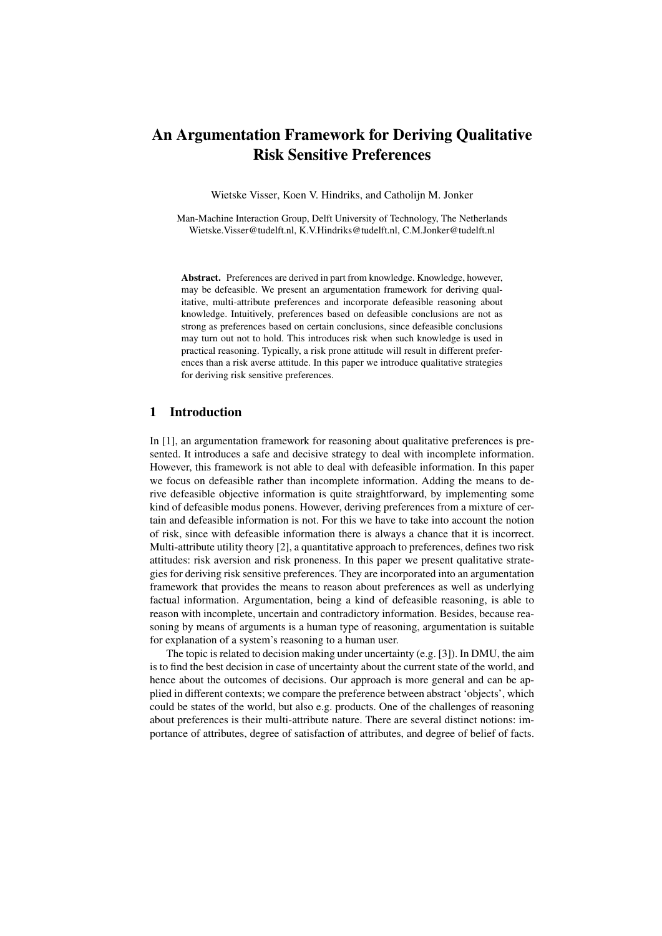# An Argumentation Framework for Deriving Qualitative Risk Sensitive Preferences

Wietske Visser, Koen V. Hindriks, and Catholijn M. Jonker

Man-Machine Interaction Group, Delft University of Technology, The Netherlands Wietske.Visser@tudelft.nl, K.V.Hindriks@tudelft.nl, C.M.Jonker@tudelft.nl

Abstract. Preferences are derived in part from knowledge. Knowledge, however, may be defeasible. We present an argumentation framework for deriving qualitative, multi-attribute preferences and incorporate defeasible reasoning about knowledge. Intuitively, preferences based on defeasible conclusions are not as strong as preferences based on certain conclusions, since defeasible conclusions may turn out not to hold. This introduces risk when such knowledge is used in practical reasoning. Typically, a risk prone attitude will result in different preferences than a risk averse attitude. In this paper we introduce qualitative strategies for deriving risk sensitive preferences.

## 1 Introduction

In [1], an argumentation framework for reasoning about qualitative preferences is presented. It introduces a safe and decisive strategy to deal with incomplete information. However, this framework is not able to deal with defeasible information. In this paper we focus on defeasible rather than incomplete information. Adding the means to derive defeasible objective information is quite straightforward, by implementing some kind of defeasible modus ponens. However, deriving preferences from a mixture of certain and defeasible information is not. For this we have to take into account the notion of risk, since with defeasible information there is always a chance that it is incorrect. Multi-attribute utility theory [2], a quantitative approach to preferences, defines two risk attitudes: risk aversion and risk proneness. In this paper we present qualitative strategies for deriving risk sensitive preferences. They are incorporated into an argumentation framework that provides the means to reason about preferences as well as underlying factual information. Argumentation, being a kind of defeasible reasoning, is able to reason with incomplete, uncertain and contradictory information. Besides, because reasoning by means of arguments is a human type of reasoning, argumentation is suitable for explanation of a system's reasoning to a human user.

The topic is related to decision making under uncertainty (e.g. [3]). In DMU, the aim is to find the best decision in case of uncertainty about the current state of the world, and hence about the outcomes of decisions. Our approach is more general and can be applied in different contexts; we compare the preference between abstract 'objects', which could be states of the world, but also e.g. products. One of the challenges of reasoning about preferences is their multi-attribute nature. There are several distinct notions: importance of attributes, degree of satisfaction of attributes, and degree of belief of facts.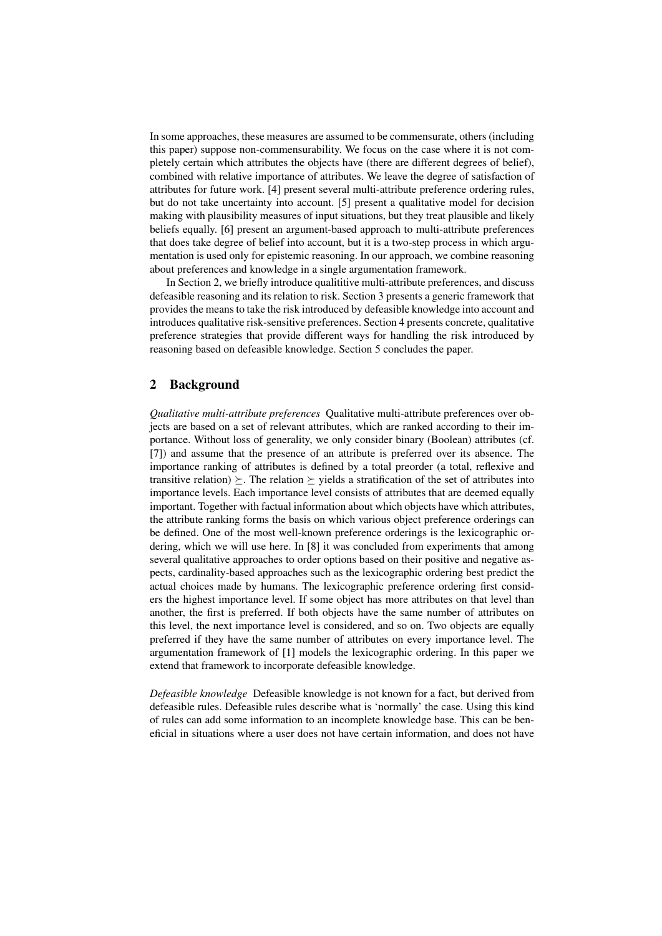In some approaches, these measures are assumed to be commensurate, others (including this paper) suppose non-commensurability. We focus on the case where it is not completely certain which attributes the objects have (there are different degrees of belief), combined with relative importance of attributes. We leave the degree of satisfaction of attributes for future work. [4] present several multi-attribute preference ordering rules, but do not take uncertainty into account. [5] present a qualitative model for decision making with plausibility measures of input situations, but they treat plausible and likely beliefs equally. [6] present an argument-based approach to multi-attribute preferences that does take degree of belief into account, but it is a two-step process in which argumentation is used only for epistemic reasoning. In our approach, we combine reasoning about preferences and knowledge in a single argumentation framework.

In Section 2, we briefly introduce qualititive multi-attribute preferences, and discuss defeasible reasoning and its relation to risk. Section 3 presents a generic framework that provides the means to take the risk introduced by defeasible knowledge into account and introduces qualitative risk-sensitive preferences. Section 4 presents concrete, qualitative preference strategies that provide different ways for handling the risk introduced by reasoning based on defeasible knowledge. Section 5 concludes the paper.

# 2 Background

*Qualitative multi-attribute preferences* Qualitative multi-attribute preferences over objects are based on a set of relevant attributes, which are ranked according to their importance. Without loss of generality, we only consider binary (Boolean) attributes (cf. [7]) and assume that the presence of an attribute is preferred over its absence. The importance ranking of attributes is defined by a total preorder (a total, reflexive and transitive relation)  $\succeq$ . The relation  $\succeq$  yields a stratification of the set of attributes into importance levels. Each importance level consists of attributes that are deemed equally important. Together with factual information about which objects have which attributes, the attribute ranking forms the basis on which various object preference orderings can be defined. One of the most well-known preference orderings is the lexicographic ordering, which we will use here. In [8] it was concluded from experiments that among several qualitative approaches to order options based on their positive and negative aspects, cardinality-based approaches such as the lexicographic ordering best predict the actual choices made by humans. The lexicographic preference ordering first considers the highest importance level. If some object has more attributes on that level than another, the first is preferred. If both objects have the same number of attributes on this level, the next importance level is considered, and so on. Two objects are equally preferred if they have the same number of attributes on every importance level. The argumentation framework of [1] models the lexicographic ordering. In this paper we extend that framework to incorporate defeasible knowledge.

*Defeasible knowledge* Defeasible knowledge is not known for a fact, but derived from defeasible rules. Defeasible rules describe what is 'normally' the case. Using this kind of rules can add some information to an incomplete knowledge base. This can be beneficial in situations where a user does not have certain information, and does not have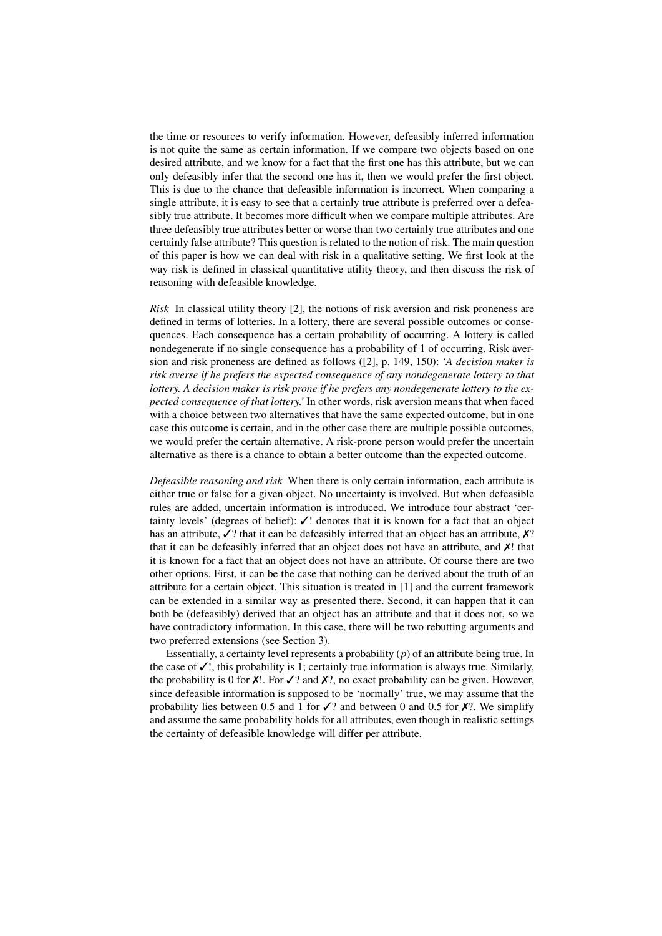the time or resources to verify information. However, defeasibly inferred information is not quite the same as certain information. If we compare two objects based on one desired attribute, and we know for a fact that the first one has this attribute, but we can only defeasibly infer that the second one has it, then we would prefer the first object. This is due to the chance that defeasible information is incorrect. When comparing a single attribute, it is easy to see that a certainly true attribute is preferred over a defeasibly true attribute. It becomes more difficult when we compare multiple attributes. Are three defeasibly true attributes better or worse than two certainly true attributes and one certainly false attribute? This question is related to the notion of risk. The main question of this paper is how we can deal with risk in a qualitative setting. We first look at the way risk is defined in classical quantitative utility theory, and then discuss the risk of reasoning with defeasible knowledge.

*Risk* In classical utility theory [2], the notions of risk aversion and risk proneness are defined in terms of lotteries. In a lottery, there are several possible outcomes or consequences. Each consequence has a certain probability of occurring. A lottery is called nondegenerate if no single consequence has a probability of 1 of occurring. Risk aversion and risk proneness are defined as follows ([2], p. 149, 150): *'A decision maker is risk averse if he prefers the expected consequence of any nondegenerate lottery to that lottery. A decision maker is risk prone if he prefers any nondegenerate lottery to the expected consequence of that lottery.'* In other words, risk aversion means that when faced with a choice between two alternatives that have the same expected outcome, but in one case this outcome is certain, and in the other case there are multiple possible outcomes, we would prefer the certain alternative. A risk-prone person would prefer the uncertain alternative as there is a chance to obtain a better outcome than the expected outcome.

*Defeasible reasoning and risk* When there is only certain information, each attribute is either true or false for a given object. No uncertainty is involved. But when defeasible rules are added, uncertain information is introduced. We introduce four abstract 'certainty levels' (degrees of belief): ✓! denotes that it is known for a fact that an object has an attribute,  $\sqrt{?}$  that it can be defeasibly inferred that an object has an attribute,  $\chi$ ? that it can be defeasibly inferred that an object does not have an attribute, and  $X!$  that it is known for a fact that an object does not have an attribute. Of course there are two other options. First, it can be the case that nothing can be derived about the truth of an attribute for a certain object. This situation is treated in [1] and the current framework can be extended in a similar way as presented there. Second, it can happen that it can both be (defeasibly) derived that an object has an attribute and that it does not, so we have contradictory information. In this case, there will be two rebutting arguments and two preferred extensions (see Section 3).

Essentially, a certainty level represents a probability (*p*) of an attribute being true. In the case of  $\checkmark$ !, this probability is 1; certainly true information is always true. Similarly, the probability is 0 for  $X!$ . For  $\checkmark$ ? and  $X!$ , no exact probability can be given. However, since defeasible information is supposed to be 'normally' true, we may assume that the probability lies between 0.5 and 1 for  $\checkmark$ ? and between 0 and 0.5 for  $\checkmark$ ?. We simplify and assume the same probability holds for all attributes, even though in realistic settings the certainty of defeasible knowledge will differ per attribute.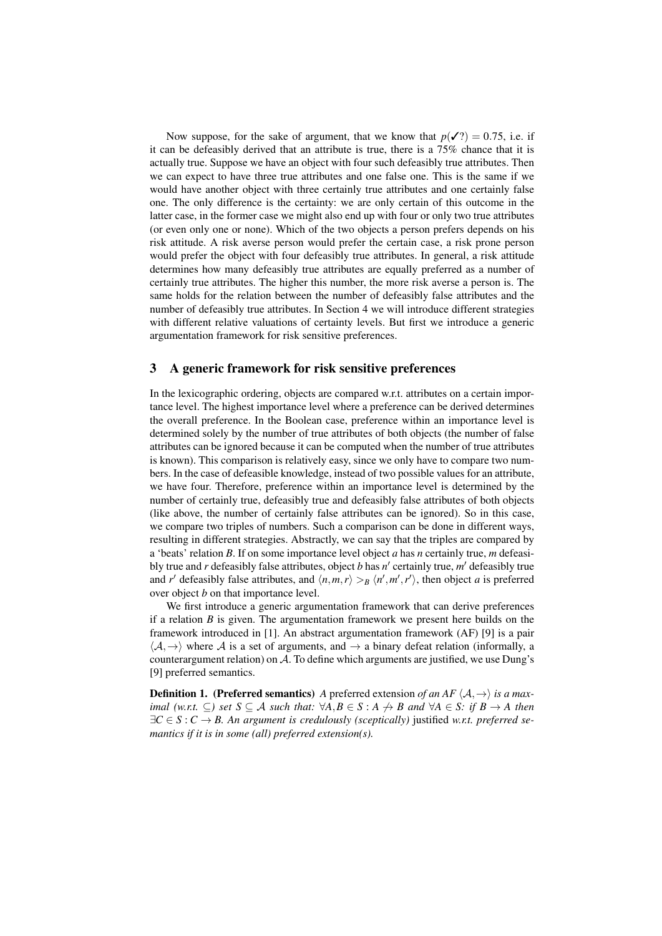Now suppose, for the sake of argument, that we know that  $p(\checkmark{z}) = 0.75$ , i.e. if it can be defeasibly derived that an attribute is true, there is a 75% chance that it is actually true. Suppose we have an object with four such defeasibly true attributes. Then we can expect to have three true attributes and one false one. This is the same if we would have another object with three certainly true attributes and one certainly false one. The only difference is the certainty: we are only certain of this outcome in the latter case, in the former case we might also end up with four or only two true attributes (or even only one or none). Which of the two objects a person prefers depends on his risk attitude. A risk averse person would prefer the certain case, a risk prone person would prefer the object with four defeasibly true attributes. In general, a risk attitude determines how many defeasibly true attributes are equally preferred as a number of certainly true attributes. The higher this number, the more risk averse a person is. The same holds for the relation between the number of defeasibly false attributes and the number of defeasibly true attributes. In Section 4 we will introduce different strategies with different relative valuations of certainty levels. But first we introduce a generic argumentation framework for risk sensitive preferences.

#### 3 A generic framework for risk sensitive preferences

In the lexicographic ordering, objects are compared w.r.t. attributes on a certain importance level. The highest importance level where a preference can be derived determines the overall preference. In the Boolean case, preference within an importance level is determined solely by the number of true attributes of both objects (the number of false attributes can be ignored because it can be computed when the number of true attributes is known). This comparison is relatively easy, since we only have to compare two numbers. In the case of defeasible knowledge, instead of two possible values for an attribute, we have four. Therefore, preference within an importance level is determined by the number of certainly true, defeasibly true and defeasibly false attributes of both objects (like above, the number of certainly false attributes can be ignored). So in this case, we compare two triples of numbers. Such a comparison can be done in different ways, resulting in different strategies. Abstractly, we can say that the triples are compared by a 'beats' relation *B*. If on some importance level object *a* has *n* certainly true, *m* defeasibly true and *r* defeasibly false attributes, object *b* has *n'* certainly true, *m'* defeasibly true and *r'* defeasibly false attributes, and  $\langle n,m,r \rangle >_B \langle n',m',r' \rangle$ , then object *a* is preferred over object *b* on that importance level.

We first introduce a generic argumentation framework that can derive preferences if a relation *B* is given. The argumentation framework we present here builds on the framework introduced in [1]. An abstract argumentation framework (AF) [9] is a pair  $\langle A,\rightarrow\rangle$  where A is a set of arguments, and  $\rightarrow$  a binary defeat relation (informally, a counterargument relation) on A. To define which arguments are justified, we use Dung's [9] preferred semantics.

**Definition 1.** (Preferred semantics) *A* preferred extension *of an AF*  $\langle A, \rightarrow \rangle$  *is a maximal (w.r.t.* ⊂) set  $S \subseteq A$  *such that:*  $\forall A, B \in S : A \nrightarrow B$  *and*  $\forall A \in S : if B \rightarrow A$  *then*  $\exists C \in S : C \rightarrow B$ . An argument is credulously (sceptically) justified *w.r.t.* preferred se*mantics if it is in some (all) preferred extension(s).*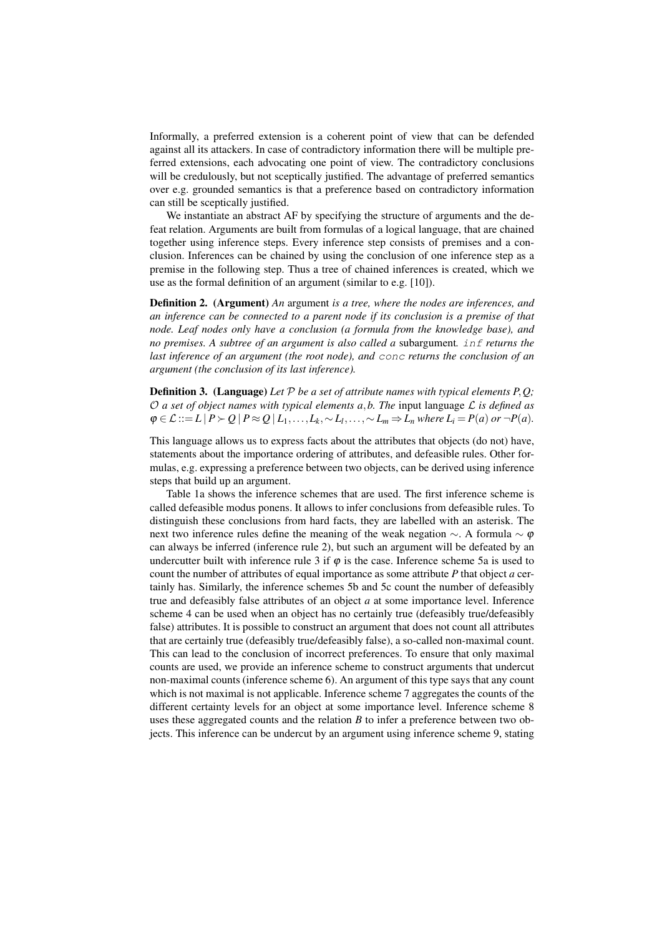Informally, a preferred extension is a coherent point of view that can be defended against all its attackers. In case of contradictory information there will be multiple preferred extensions, each advocating one point of view. The contradictory conclusions will be credulously, but not sceptically justified. The advantage of preferred semantics over e.g. grounded semantics is that a preference based on contradictory information can still be sceptically justified.

We instantiate an abstract AF by specifying the structure of arguments and the defeat relation. Arguments are built from formulas of a logical language, that are chained together using inference steps. Every inference step consists of premises and a conclusion. Inferences can be chained by using the conclusion of one inference step as a premise in the following step. Thus a tree of chained inferences is created, which we use as the formal definition of an argument (similar to e.g. [10]).

Definition 2. (Argument) *An* argument *is a tree, where the nodes are inferences, and an inference can be connected to a parent node if its conclusion is a premise of that node. Leaf nodes only have a conclusion (a formula from the knowledge base), and no premises. A subtree of an argument is also called a* subargument*.* inf *returns the last inference of an argument (the root node), and* conc *returns the conclusion of an argument (the conclusion of its last inference).*

Definition 3. (Language) *Let* P *be a set of attribute names with typical elements P*,*Q;* O *a set of object names with typical elements a*,*b. The* input language L *is defined as*  $\varphi \in \mathcal{L} ::= L \mid P \succ Q \mid P \approx Q \mid L_1, \ldots, L_k, \sim L_l, \ldots, \sim L_m \Rightarrow L_n$  where  $L_i = P(a)$  or  $\neg P(a)$ .

This language allows us to express facts about the attributes that objects (do not) have, statements about the importance ordering of attributes, and defeasible rules. Other formulas, e.g. expressing a preference between two objects, can be derived using inference steps that build up an argument.

Table 1a shows the inference schemes that are used. The first inference scheme is called defeasible modus ponens. It allows to infer conclusions from defeasible rules. To distinguish these conclusions from hard facts, they are labelled with an asterisk. The next two inference rules define the meaning of the weak negation  $\sim$ . A formula  $\sim \varphi$ can always be inferred (inference rule 2), but such an argument will be defeated by an undercutter built with inference rule 3 if  $\varphi$  is the case. Inference scheme 5a is used to count the number of attributes of equal importance as some attribute *P* that object *a* certainly has. Similarly, the inference schemes 5b and 5c count the number of defeasibly true and defeasibly false attributes of an object *a* at some importance level. Inference scheme 4 can be used when an object has no certainly true (defeasibly true/defeasibly false) attributes. It is possible to construct an argument that does not count all attributes that are certainly true (defeasibly true/defeasibly false), a so-called non-maximal count. This can lead to the conclusion of incorrect preferences. To ensure that only maximal counts are used, we provide an inference scheme to construct arguments that undercut non-maximal counts (inference scheme 6). An argument of this type says that any count which is not maximal is not applicable. Inference scheme 7 aggregates the counts of the different certainty levels for an object at some importance level. Inference scheme 8 uses these aggregated counts and the relation *B* to infer a preference between two objects. This inference can be undercut by an argument using inference scheme 9, stating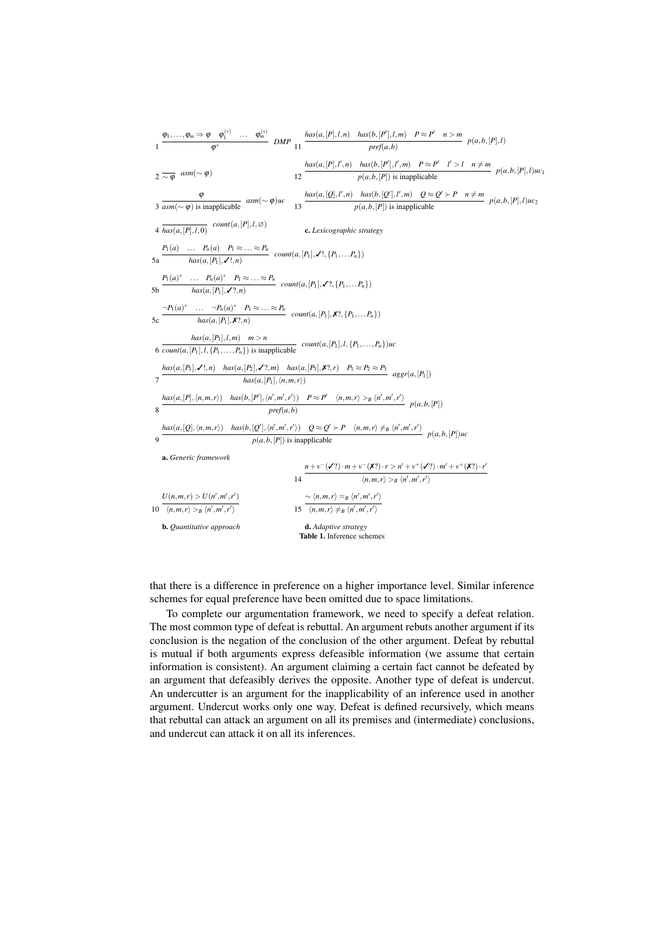|             |                                                                                                                                                                                                                        | $\frac{\varphi_1,\ldots,\varphi_m\Rightarrow\varphi\quad \varphi_1^{(*)}\quad \ldots\quad \varphi_m^{(*)}}{\varphi^*}\quad DMP\quad \frac{has(a,[P],l,n)\quad has(b,[P'],l,m)\quad P\approx P'\quad n>m}{pref(a,b)}\quad p(a,b,[P],l)$ |  |  |  |  |  |  |
|-------------|------------------------------------------------------------------------------------------------------------------------------------------------------------------------------------------------------------------------|----------------------------------------------------------------------------------------------------------------------------------------------------------------------------------------------------------------------------------------|--|--|--|--|--|--|
|             |                                                                                                                                                                                                                        |                                                                                                                                                                                                                                        |  |  |  |  |  |  |
|             | $2 \overline{\sim \varphi} \quad \text{asm}(\sim \varphi)$<br>12                                                                                                                                                       | $\frac{has(a,[P],l',n)-has(b,[P'],l',m)-P \approx P'-l'>l-n\neq m}{p(a,b,[P])\text{ is inapplicable}} \quad p(a,b,[P],l)uc_1$                                                                                                          |  |  |  |  |  |  |
|             | $\frac{\varphi}{3 \operatorname{asm}(\sim \varphi) \text{ is inapplicable}} \operatorname{asm}(\sim \varphi) \text{uc}$                                                                                                | $\frac{has(a,[Q],l',n)\quad has(b,[Q'],l',m)\quad Q\approx Q'\succ P\quad n\neq m}{p(a,b,[P])\text{ is inapplicable}}\quad p(a,b,[P],l)uc_2$                                                                                           |  |  |  |  |  |  |
|             | 4 $\overline{has(a,[P],l,0)}$ count $(a,[P],l,\varnothing)$<br>c. Lexicographic strategy                                                                                                                               |                                                                                                                                                                                                                                        |  |  |  |  |  |  |
|             | $\frac{P_1(a) \cdots P_n(a) \cdot P_1 \approx \ldots \approx P_n}{has(a,[P_1],\mathcal{N}!,n)}$ count $(a,[P_1],\mathcal{N}!,\{P_1,\ldots,P_n\})$                                                                      |                                                                                                                                                                                                                                        |  |  |  |  |  |  |
|             | 5b $\frac{P_1(a)^* \dots P_n(a)^* \cdot P_1 \approx \dots \approx P_n}{has(a,[P_1],\mathcal{N}^2,n)}$ count $(a,[P_1],\mathcal{N}^2,\{P_1,\dots,P_n\})$                                                                |                                                                                                                                                                                                                                        |  |  |  |  |  |  |
|             | $\frac{\neg P_1(a)^* \dots \neg P_n(a)^* \quad P_1 \approx \dots \approx P_n}{has(a, [P_1], \mathbf{X}^2, n)}$ count $(a, [P_1], \mathbf{X}^2, \{P_1, \dots, P_n\})$                                                   |                                                                                                                                                                                                                                        |  |  |  |  |  |  |
|             | $has (a, [P_1], l, m) \quad m > n$<br>$\overbrace{\textit{count}(a, [P_1], l, \{P_1, \ldots, P_n\})} \text{ is inapplicable} \quad \textit{count}(a, [P_1], l, \{P_1, \ldots, P_n\}) \textit{uc}$                      |                                                                                                                                                                                                                                        |  |  |  |  |  |  |
|             | $\frac{has(a,[P_1],\mathcal{N}!,n)}{has(a,[P_1],\mathcal{N}!,m)} \quad has(a,[P_2],\mathcal{N},m) \quad has(a,[P_3],\mathcal{N}!,r) \quad P_1 \approx P_2 \approx P_3 \quad aggr(a,[P_1])$                             |                                                                                                                                                                                                                                        |  |  |  |  |  |  |
|             | $8 \frac{has(a,[P],\langle n,m,r \rangle) - has(b,[P'],\langle n',m',r' \rangle) - P \approx P' - \langle n,m,r \rangle >_B \langle n',m',r' \rangle}{pref(a,b)} p(a,b,[P])$                                           |                                                                                                                                                                                                                                        |  |  |  |  |  |  |
| $\mathbf Q$ | $\frac{has(a,[Q],\langle n,m,r\rangle)\quad has(b,[Q'],\langle n',m',r'\rangle)\quad Q\approx Q'\succ P\quad \langle n,m,r\rangle\neq_B\langle n',m',r'\rangle}{p(a,b,[P])\ {\rm is\ inapplicable}}\quad p(a,b,[P])uc$ |                                                                                                                                                                                                                                        |  |  |  |  |  |  |
|             | a. Generic framework                                                                                                                                                                                                   | $\frac{n+v^-(\mathcal{S}^2)\cdot m+v^-(\mathcal{S}^2)\cdot r> n'+v^+(\mathcal{S}^2)\cdot m'+v^+(\mathcal{S}^2)\cdot r'}{\langle n,m,r\rangle_{\geq R}\langle n',m',r'\rangle}$                                                         |  |  |  |  |  |  |
|             | $\frac{U(n,m,r) > U(n',m',r')}{\langle n,m,r \rangle >_R \langle n',m',r' \rangle}$                                                                                                                                    | $\frac{\sim \langle n,m,r\rangle =_B \langle n',m',r'\rangle}{\langle n,m,r\rangle \neq_{{\cal R}} \langle n',m',r'\rangle}$                                                                                                           |  |  |  |  |  |  |
|             | <b>b.</b> Quantitative approach                                                                                                                                                                                        | d. Adaptive strategy<br><b>Table 1.</b> Inference schemes                                                                                                                                                                              |  |  |  |  |  |  |

that there is a difference in preference on a higher importance level. Similar inference schemes for equal preference have been omitted due to space limitations.

To complete our argumentation framework, we need to specify a defeat relation. The most common type of defeat is rebuttal. An argument rebuts another argument if its conclusion is the negation of the conclusion of the other argument. Defeat by rebuttal is mutual if both arguments express defeasible information (we assume that certain information is consistent). An argument claiming a certain fact cannot be defeated by an argument that defeasibly derives the opposite. Another type of defeat is undercut. An undercutter is an argument for the inapplicability of an inference used in another argument. Undercut works only one way. Defeat is defined recursively, which means that rebuttal can attack an argument on all its premises and (intermediate) conclusions, and undercut can attack it on all its inferences.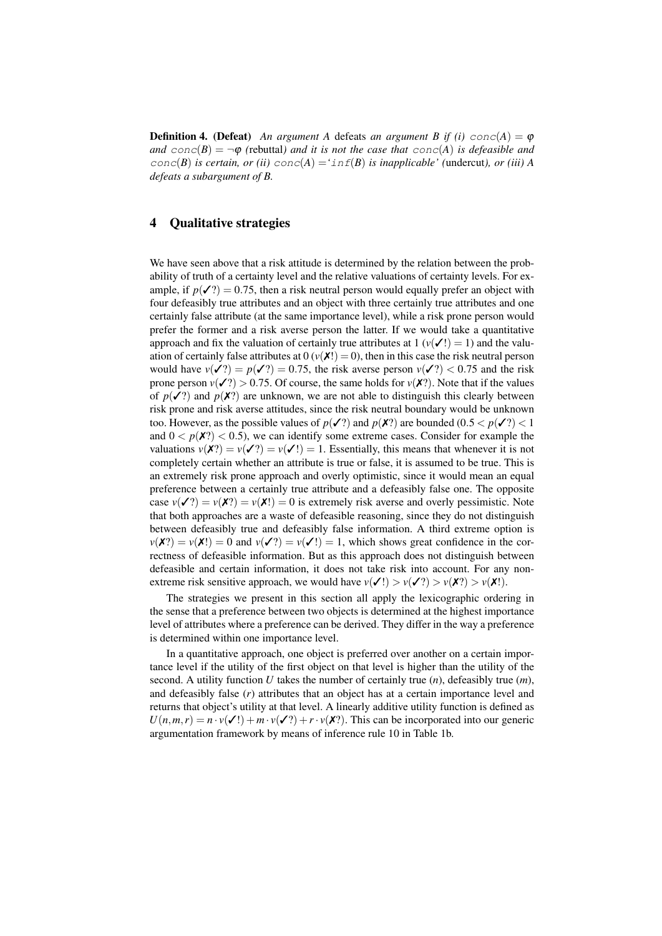**Definition 4.** (Defeat) *An argument A* defeats *an argument B if (i)*  $conc(A) = \varphi$ *and*  $conc(B) = \neg \phi$  *(rebuttal) and it is not the case that*  $conc(A)$  *is defeasible and*  $conc(B)$  *is certain, or (ii)*  $conc(A) = \text{inf}(B)$  *is inapplicable' (undercut), or (iii)* A *defeats a subargument of B.*

### 4 Qualitative strategies

We have seen above that a risk attitude is determined by the relation between the probability of truth of a certainty level and the relative valuations of certainty levels. For example, if  $p(\checkmark{z}) = 0.75$ , then a risk neutral person would equally prefer an object with four defeasibly true attributes and an object with three certainly true attributes and one certainly false attribute (at the same importance level), while a risk prone person would prefer the former and a risk averse person the latter. If we would take a quantitative approach and fix the valuation of certainly true attributes at  $1 \left(\nu(\checkmark\!\!\;l\!\!\;l\right) = 1\right)$  and the valuation of certainly false attributes at  $0 (v(X)) = 0$ , then in this case the risk neutral person would have  $v(\checkmark) = p(\checkmark) = 0.75$ , the risk averse person  $v(\checkmark) < 0.75$  and the risk prone person  $v(\checkmark) > 0.75$ . Of course, the same holds for  $v(\checkmark)$ . Note that if the values of  $p(\checkmark{}2)$  and  $p(\checkmark{}3)$  are unknown, we are not able to distinguish this clearly between risk prone and risk averse attitudes, since the risk neutral boundary would be unknown too. However, as the possible values of  $p(\checkmark{}2)$  and  $p(\checkmark{}3)$  are bounded (0.5  $p(\checkmark{}3)$ )  $1$ and  $0 < p(X^2) < 0.5$ , we can identify some extreme cases. Consider for example the valuations  $v(X?) = v(\check{Z}) = v(\check{Z}) = 1$ . Essentially, this means that whenever it is not completely certain whether an attribute is true or false, it is assumed to be true. This is an extremely risk prone approach and overly optimistic, since it would mean an equal preference between a certainly true attribute and a defeasibly false one. The opposite case  $v(\checkmark{\gamma}) = v(\checkmark{\gamma}) = v(\checkmark{\gamma}) = 0$  is extremely risk averse and overly pessimistic. Note that both approaches are a waste of defeasible reasoning, since they do not distinguish between defeasibly true and defeasibly false information. A third extreme option is  $v(X?) = v(X!) = 0$  and  $v(\checkmark) = v(\checkmark) = 1$ , which shows great confidence in the correctness of defeasible information. But as this approach does not distinguish between defeasible and certain information, it does not take risk into account. For any nonextreme risk sensitive approach, we would have  $v(\checkmark) > v(\checkmark) > v(\checkmark) > v(\checkmark)$ .

The strategies we present in this section all apply the lexicographic ordering in the sense that a preference between two objects is determined at the highest importance level of attributes where a preference can be derived. They differ in the way a preference is determined within one importance level.

In a quantitative approach, one object is preferred over another on a certain importance level if the utility of the first object on that level is higher than the utility of the second. A utility function *U* takes the number of certainly true (*n*), defeasibly true (*m*), and defeasibly false (*r*) attributes that an object has at a certain importance level and returns that object's utility at that level. A linearly additive utility function is defined as  $U(n,m,r) = n \cdot v(\mathcal{I}^r) + m \cdot v(\mathcal{I}^r) + r \cdot v(\mathcal{X}^r)$ . This can be incorporated into our generic argumentation framework by means of inference rule 10 in Table 1b.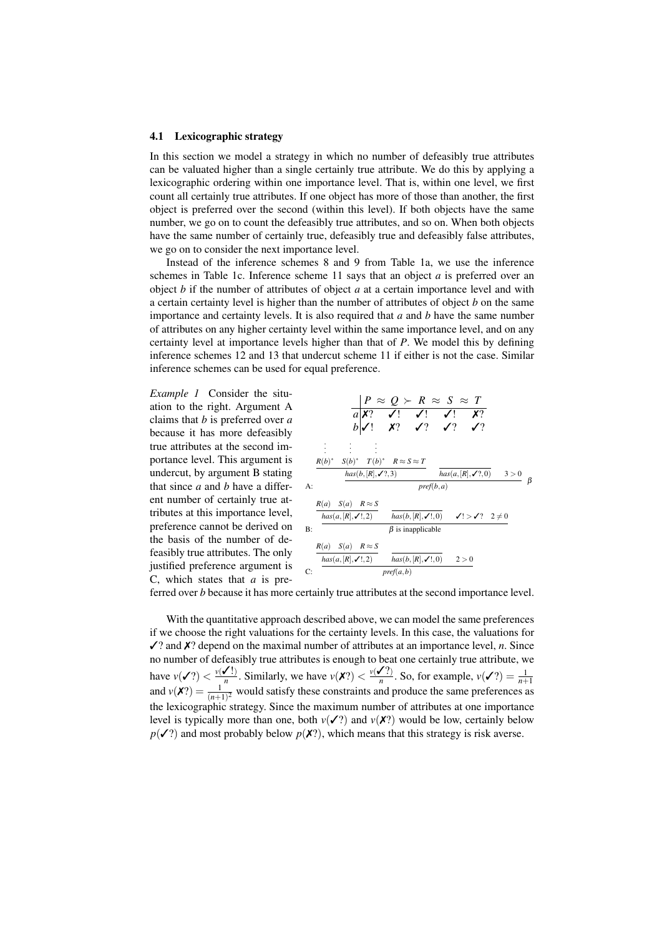#### 4.1 Lexicographic strategy

In this section we model a strategy in which no number of defeasibly true attributes can be valuated higher than a single certainly true attribute. We do this by applying a lexicographic ordering within one importance level. That is, within one level, we first count all certainly true attributes. If one object has more of those than another, the first object is preferred over the second (within this level). If both objects have the same number, we go on to count the defeasibly true attributes, and so on. When both objects have the same number of certainly true, defeasibly true and defeasibly false attributes, we go on to consider the next importance level.

Instead of the inference schemes 8 and 9 from Table 1a, we use the inference schemes in Table 1c. Inference scheme 11 says that an object *a* is preferred over an object *b* if the number of attributes of object *a* at a certain importance level and with a certain certainty level is higher than the number of attributes of object *b* on the same importance and certainty levels. It is also required that *a* and *b* have the same number of attributes on any higher certainty level within the same importance level, and on any certainty level at importance levels higher than that of *P*. We model this by defining inference schemes 12 and 13 that undercut scheme 11 if either is not the case. Similar inference schemes can be used for equal preference.

*Example 1* Consider the situation to the right. Argument A claims that *b* is preferred over *a* because it has more defeasibly true attributes at the second importance level. This argument is undercut, by argument B stating that since *a* and *b* have a different number of certainly true attributes at this importance level, preference cannot be derived on the basis of the number of defeasibly true attributes. The only justified preference argument is C, which states that *a* is pre-

|       |                                                                       | $P \approx Q \succ R \approx S \approx T$                                                                                                                                                                                                                                                                                                                                                                                                                                                    |                                       |  |  |  |
|-------|-----------------------------------------------------------------------|----------------------------------------------------------------------------------------------------------------------------------------------------------------------------------------------------------------------------------------------------------------------------------------------------------------------------------------------------------------------------------------------------------------------------------------------------------------------------------------------|---------------------------------------|--|--|--|
|       |                                                                       | $a \times 2$ $\checkmark$ $\checkmark$ $\checkmark$ $\checkmark$ $\checkmark$ $\checkmark$ $\checkmark$ $\checkmark$ $\checkmark$ $\checkmark$ $\checkmark$ $\checkmark$ $\checkmark$ $\checkmark$ $\checkmark$ $\checkmark$ $\checkmark$ $\checkmark$ $\checkmark$ $\checkmark$ $\checkmark$ $\checkmark$ $\checkmark$ $\checkmark$ $\checkmark$ $\checkmark$ $\checkmark$ $\checkmark$ $\checkmark$ $\checkmark$ $\checkmark$ $\checkmark$ $\checkmark$ $\checkmark$ $\checkmark$ $\check$ |                                       |  |  |  |
|       |                                                                       |                                                                                                                                                                                                                                                                                                                                                                                                                                                                                              |                                       |  |  |  |
|       |                                                                       |                                                                                                                                                                                                                                                                                                                                                                                                                                                                                              |                                       |  |  |  |
|       | $R(b)^*$ $S(b)^*$ $T(b)^*$ $R \approx S \approx T$                    |                                                                                                                                                                                                                                                                                                                                                                                                                                                                                              |                                       |  |  |  |
|       | $has(b, [R], \mathcal{S}$ ?, 3)                                       |                                                                                                                                                                                                                                                                                                                                                                                                                                                                                              | $has(a, [R], \mathcal{S}(2,0))$ 3 > 0 |  |  |  |
| $A$ : |                                                                       |                                                                                                                                                                                                                                                                                                                                                                                                                                                                                              | pref(b,a)                             |  |  |  |
|       | $R(a)$ $S(a)$ $R \approx S$                                           |                                                                                                                                                                                                                                                                                                                                                                                                                                                                                              |                                       |  |  |  |
|       | $has(a, [R], \mathcal{I}!, 2)$                                        | $has(b, [R], \mathcal{J}', 0)$ $\mathcal{J}$ : $> \mathcal{J}'$ : 2 $\neq$ 0                                                                                                                                                                                                                                                                                                                                                                                                                 |                                       |  |  |  |
| B:    |                                                                       | $\beta$ is inapplicable                                                                                                                                                                                                                                                                                                                                                                                                                                                                      |                                       |  |  |  |
|       | $R(a)$ $S(a)$ $R \approx S$                                           |                                                                                                                                                                                                                                                                                                                                                                                                                                                                                              |                                       |  |  |  |
|       | $has(a, [R], \mathcal{I}!, 2)$ $has(b, [R], \mathcal{I}!, 0)$ $2 > 0$ |                                                                                                                                                                                                                                                                                                                                                                                                                                                                                              |                                       |  |  |  |
| C:    |                                                                       | pref(a,b)                                                                                                                                                                                                                                                                                                                                                                                                                                                                                    |                                       |  |  |  |

ferred over *b* because it has more certainly true attributes at the second importance level.

With the quantitative approach described above, we can model the same preferences if we choose the right valuations for the certainty levels. In this case, the valuations for ✓? and ✗? depend on the maximal number of attributes at an importance level, *n*. Since no number of defeasibly true attributes is enough to beat one certainly true attribute, we have  $v(\checkmark 2) < \frac{v(\checkmark 1)}{n}$ . Similarly, we have  $v(\checkmark 2) < \frac{v(\checkmark 2)}{n}$ . So, for example,  $v(\checkmark 2) = \frac{1}{n+1}$ <br>and  $v(\checkmark 2) = \frac{1}{(n+1)^2}$  would satisfy these constraints and produce the same preferences as the lexicographic strategy. Since the maximum number of attributes at one importance level is typically more than one, both  $v(\ell')$  and  $v(\ell')$  would be low, certainly below  $p(\checkmark{}2)$  and most probably below  $p(\checkmark{}3)$ , which means that this strategy is risk averse.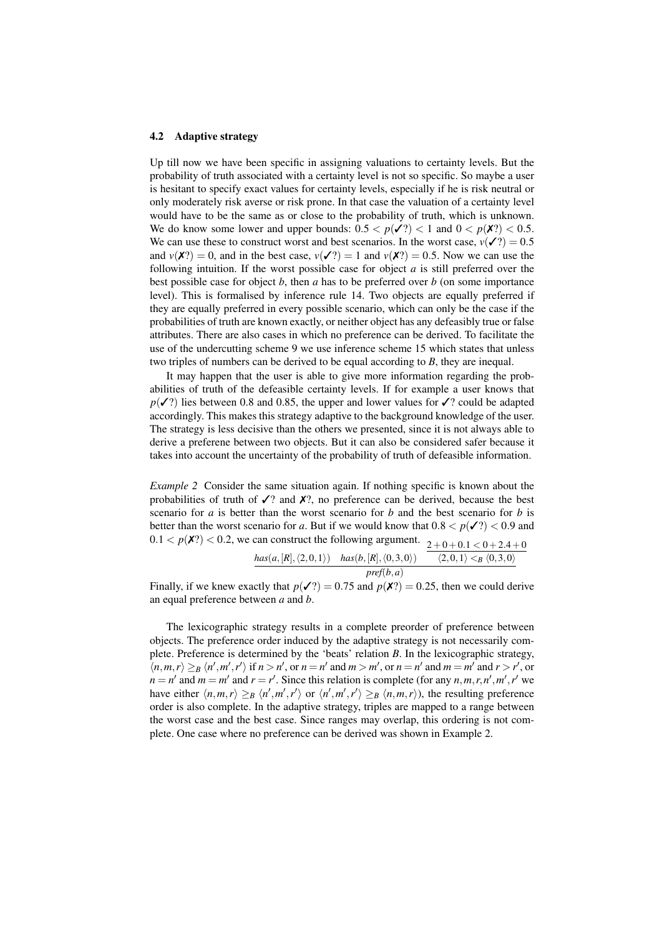#### 4.2 Adaptive strategy

Up till now we have been specific in assigning valuations to certainty levels. But the probability of truth associated with a certainty level is not so specific. So maybe a user is hesitant to specify exact values for certainty levels, especially if he is risk neutral or only moderately risk averse or risk prone. In that case the valuation of a certainty level would have to be the same as or close to the probability of truth, which is unknown. We do know some lower and upper bounds:  $0.5 < p(\mathcal{J}^2) < 1$  and  $0 < p(\mathcal{X}^2) < 0.5$ . We can use these to construct worst and best scenarios. In the worst case,  $v(\checkmark\prime) = 0.5$ and  $v(X?) = 0$ , and in the best case,  $v(\checkmark) = 1$  and  $v(X?) = 0.5$ . Now we can use the following intuition. If the worst possible case for object *a* is still preferred over the best possible case for object *b*, then *a* has to be preferred over *b* (on some importance level). This is formalised by inference rule 14. Two objects are equally preferred if they are equally preferred in every possible scenario, which can only be the case if the probabilities of truth are known exactly, or neither object has any defeasibly true or false attributes. There are also cases in which no preference can be derived. To facilitate the use of the undercutting scheme 9 we use inference scheme 15 which states that unless two triples of numbers can be derived to be equal according to *B*, they are inequal.

It may happen that the user is able to give more information regarding the probabilities of truth of the defeasible certainty levels. If for example a user knows that  $p(\checkmark{}2)$  lies between 0.8 and 0.85, the upper and lower values for  $\checkmark{}2$  could be adapted accordingly. This makes this strategy adaptive to the background knowledge of the user. The strategy is less decisive than the others we presented, since it is not always able to derive a preferene between two objects. But it can also be considered safer because it takes into account the uncertainty of the probability of truth of defeasible information.

*Example 2* Consider the same situation again. If nothing specific is known about the probabilities of truth of  $\angle$ ? and  $\angle$ , no preference can be derived, because the best scenario for *a* is better than the worst scenario for *b* and the best scenario for *b* is better than the worst scenario for *a*. But if we would know that  $0.8 < p(\checkmark) < 0.9$  and  $0.1 < p(X?) < 0.2$ , we can construct the following argument.  $2+0+0.1 < 0+2.4+0$ 

$$
\frac{has(a,[R],\langle 2,0,1\rangle) \quad \text{has}(b,[R],\langle 0,3,0\rangle)}{\text{pref}(b,a)} \quad \frac{\langle 2,0,1\rangle <_{B}\langle 0,3,0\rangle}{\langle 0,1\rangle \langle 0,1\rangle}
$$

Finally, if we knew exactly that  $p(\mathcal{I}) = 0.75$  and  $p(\mathcal{X}) = 0.25$ , then we could derive an equal preference between *a* and *b*.

The lexicographic strategy results in a complete preorder of preference between objects. The preference order induced by the adaptive strategy is not necessarily complete. Preference is determined by the 'beats' relation *B*. In the lexicographic strategy,  $\langle n,m,r\rangle \geq_B \langle n',m',r'\rangle$  if  $n > n'$ , or  $n = n'$  and  $m > m'$ , or  $n = n'$  and  $m = m'$  and  $r > r'$ , or  $n = n'$  and  $m = m'$  and  $r = r'$ . Since this relation is complete (for any  $n, m, r, n', m', r'$  we have either  $\langle n,m,r \rangle \geq_B \langle n',m',r' \rangle$  or  $\langle n',m',r' \rangle \geq_B \langle n,m,r \rangle$ ), the resulting preference order is also complete. In the adaptive strategy, triples are mapped to a range between the worst case and the best case. Since ranges may overlap, this ordering is not complete. One case where no preference can be derived was shown in Example 2.